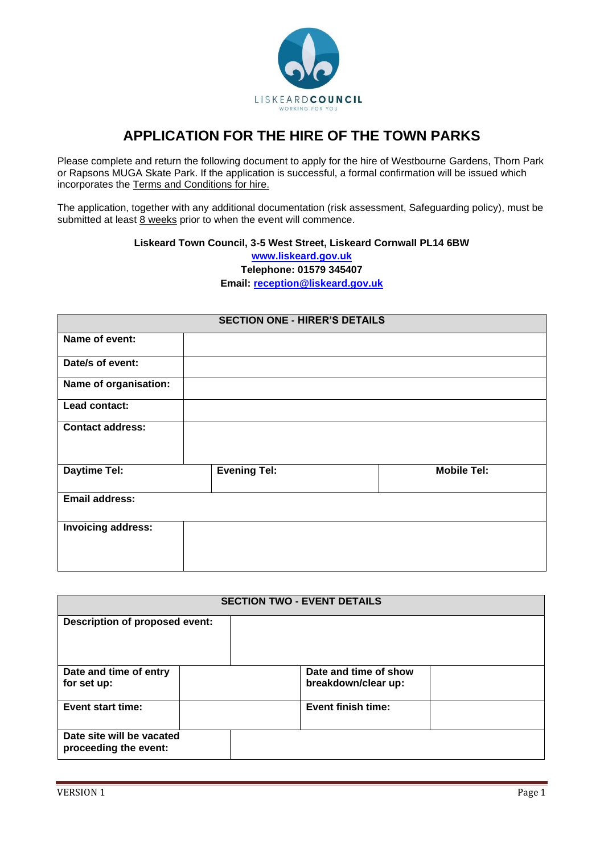

# **APPLICATION FOR THE HIRE OF THE TOWN PARKS**

Please complete and return the following document to apply for the hire of Westbourne Gardens, Thorn Park or Rapsons MUGA Skate Park. If the application is successful, a formal confirmation will be issued which incorporates the Terms and Conditions for hire.

The application, together with any additional documentation (risk assessment, Safeguarding policy), must be submitted at least  $\frac{8}{9}$  weeks prior to when the event will commence.

### **Liskeard Town Council, 3-5 West Street, Liskeard Cornwall PL14 6BW**

**[www.liskeard.gov.uk](http://www.liskeard.gov.uk/) Telephone: 01579 345407 Email: [reception@liskeard.gov.uk](mailto:reception@liskeard.gov.uk)**

| <b>SECTION ONE - HIRER'S DETAILS</b> |                     |                    |  |
|--------------------------------------|---------------------|--------------------|--|
| Name of event:                       |                     |                    |  |
| Date/s of event:                     |                     |                    |  |
| Name of organisation:                |                     |                    |  |
| Lead contact:                        |                     |                    |  |
| <b>Contact address:</b>              |                     |                    |  |
| <b>Daytime Tel:</b>                  | <b>Evening Tel:</b> | <b>Mobile Tel:</b> |  |
| <b>Email address:</b>                |                     |                    |  |
| <b>Invoicing address:</b>            |                     |                    |  |

| <b>SECTION TWO - EVENT DETAILS</b>                 |  |                                              |  |  |
|----------------------------------------------------|--|----------------------------------------------|--|--|
| Description of proposed event:                     |  |                                              |  |  |
| Date and time of entry<br>for set up:              |  | Date and time of show<br>breakdown/clear up: |  |  |
| Event start time:                                  |  | Event finish time:                           |  |  |
| Date site will be vacated<br>proceeding the event: |  |                                              |  |  |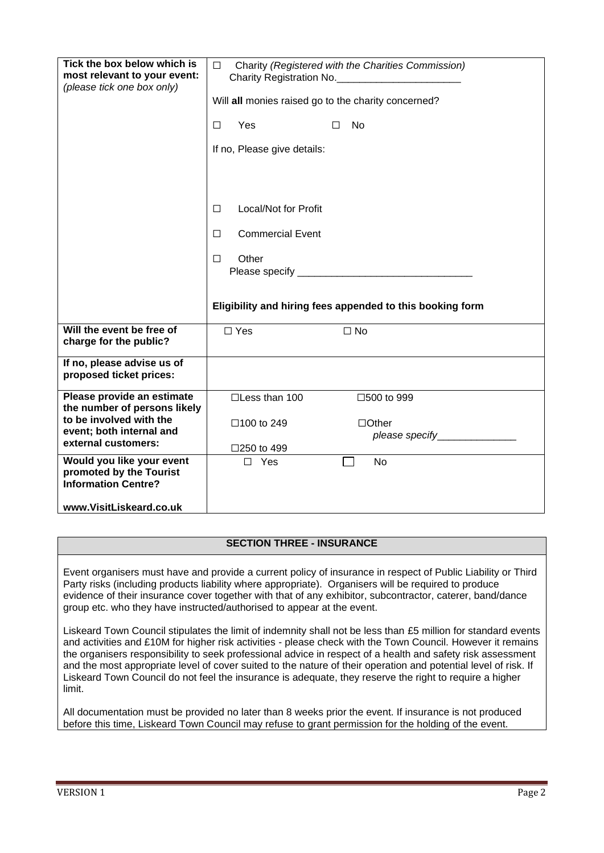| Tick the box below which is<br>most relevant to your event:<br>(please tick one box only)                                                                                                                                      | $\Box$<br>Charity (Registered with the Charities Commission)<br>Charity Registration No. _____________________________<br>Will all monies raised go to the charity concerned?<br>Yes<br>No<br>□<br>П<br>If no, Please give details:<br>Local/Not for Profit<br>$\Box$<br><b>Commercial Event</b><br>$\Box$<br>Other<br>$\Box$<br>Eligibility and hiring fees appended to this booking form |                                                                    |  |
|--------------------------------------------------------------------------------------------------------------------------------------------------------------------------------------------------------------------------------|--------------------------------------------------------------------------------------------------------------------------------------------------------------------------------------------------------------------------------------------------------------------------------------------------------------------------------------------------------------------------------------------|--------------------------------------------------------------------|--|
| Will the event be free of<br>charge for the public?                                                                                                                                                                            | $\Box$ Yes                                                                                                                                                                                                                                                                                                                                                                                 | $\Box$ No                                                          |  |
| If no, please advise us of<br>proposed ticket prices:                                                                                                                                                                          |                                                                                                                                                                                                                                                                                                                                                                                            |                                                                    |  |
| Please provide an estimate<br>the number of persons likely<br>to be involved with the<br>event; both internal and<br>external customers:<br>Would you like your event<br>promoted by the Tourist<br><b>Information Centre?</b> | $\square$ Less than 100<br>□100 to 249<br>□250 to 499<br>$\Box$ Yes                                                                                                                                                                                                                                                                                                                        | □500 to 999<br>$\Box$ Other<br>please specify_______________<br>No |  |
| www.VisitLiskeard.co.uk                                                                                                                                                                                                        |                                                                                                                                                                                                                                                                                                                                                                                            |                                                                    |  |

### **SECTION THREE - INSURANCE**

Event organisers must have and provide a current policy of insurance in respect of Public Liability or Third Party risks (including products liability where appropriate). Organisers will be required to produce evidence of their insurance cover together with that of any exhibitor, subcontractor, caterer, band/dance group etc. who they have instructed/authorised to appear at the event.

Liskeard Town Council stipulates the limit of indemnity shall not be less than £5 million for standard events and activities and £10M for higher risk activities - please check with the Town Council. However it remains the organisers responsibility to seek professional advice in respect of a health and safety risk assessment and the most appropriate level of cover suited to the nature of their operation and potential level of risk. If Liskeard Town Council do not feel the insurance is adequate, they reserve the right to require a higher limit.

All documentation must be provided no later than 8 weeks prior the event. If insurance is not produced before this time, Liskeard Town Council may refuse to grant permission for the holding of the event.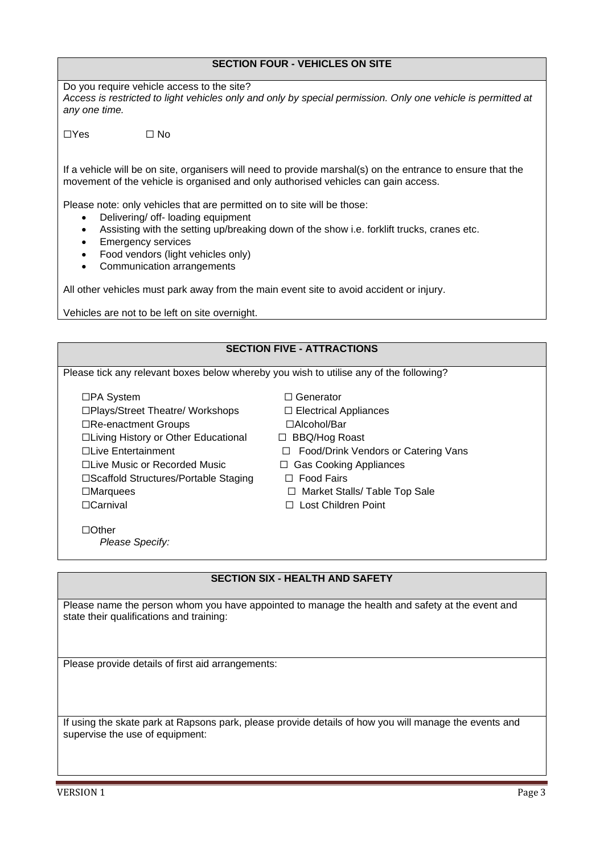## **SECTION FOUR - VEHICLES ON SITE**

Do you require vehicle access to the site? *Access is restricted to light vehicles only and only by special permission. Only one vehicle is permitted at any one time.*

 $\Box$ Yes  $\Box$  No

If a vehicle will be on site, organisers will need to provide marshal(s) on the entrance to ensure that the movement of the vehicle is organised and only authorised vehicles can gain access.

Please note: only vehicles that are permitted on to site will be those:

- Delivering/ off- loading equipment
- Assisting with the setting up/breaking down of the show i.e. forklift trucks, cranes etc.
- Emergency services
- Food vendors (light vehicles only)
- Communication arrangements

All other vehicles must park away from the main event site to avoid accident or injury.

Vehicles are not to be left on site overnight.

## **SECTION FIVE - ATTRACTIONS** Please tick any relevant boxes below whereby you wish to utilise any of the following? ☐PA System ☐ Generator ☐Plays/Street Theatre/ Workshops ☐ Electrical Appliances ☐Re-enactment Groups ☐Alcohol/Bar ☐Living History or Other Educational ☐ BBQ/Hog Roast ☐Live Entertainment ☐ Food/Drink Vendors or Catering Vans ☐Live Music or Recorded Music ☐ Gas Cooking Appliances ☐Scaffold Structures/Portable Staging ☐ Food Fairs ☐Marquees ☐ Market Stalls/ Table Top Sale ☐Carnival ☐ Lost Children Point ☐Other *Please Specify:*

### **SECTION SIX - HEALTH AND SAFETY**

Please name the person whom you have appointed to manage the health and safety at the event and state their qualifications and training:

Please provide details of first aid arrangements:

If using the skate park at Rapsons park, please provide details of how you will manage the events and supervise the use of equipment: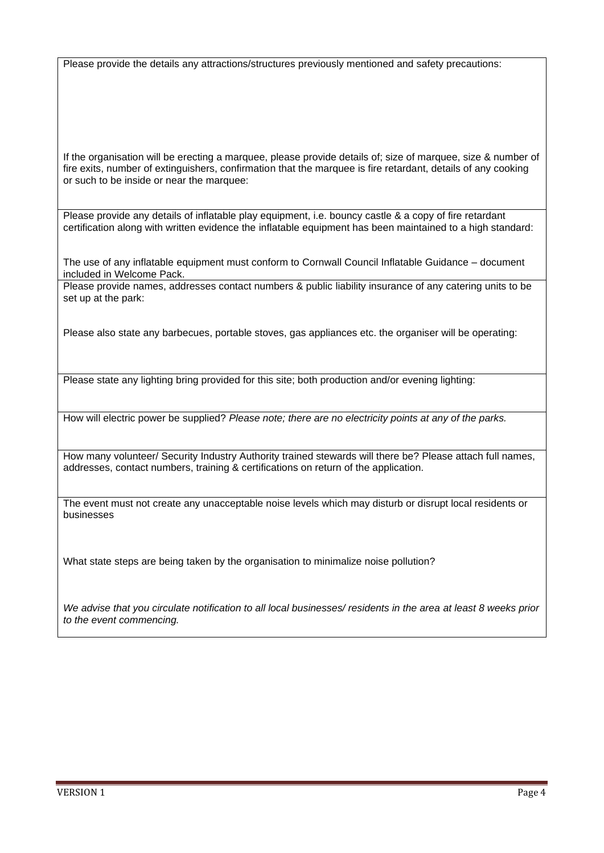Please provide the details any attractions/structures previously mentioned and safety precautions:

If the organisation will be erecting a marquee, please provide details of; size of marquee, size & number of fire exits, number of extinguishers, confirmation that the marquee is fire retardant, details of any cooking or such to be inside or near the marquee:

Please provide any details of inflatable play equipment, i.e. bouncy castle & a copy of fire retardant certification along with written evidence the inflatable equipment has been maintained to a high standard:

The use of any inflatable equipment must conform to Cornwall Council Inflatable Guidance – document included in Welcome Pack.

Please provide names, addresses contact numbers & public liability insurance of any catering units to be set up at the park:

Please also state any barbecues, portable stoves, gas appliances etc. the organiser will be operating:

Please state any lighting bring provided for this site; both production and/or evening lighting:

How will electric power be supplied? *Please note; there are no electricity points at any of the parks.*

How many volunteer/ Security Industry Authority trained stewards will there be? Please attach full names, addresses, contact numbers, training & certifications on return of the application.

The event must not create any unacceptable noise levels which may disturb or disrupt local residents or businesses

What state steps are being taken by the organisation to minimalize noise pollution?

*We advise that you circulate notification to all local businesses/ residents in the area at least 8 weeks prior to the event commencing.*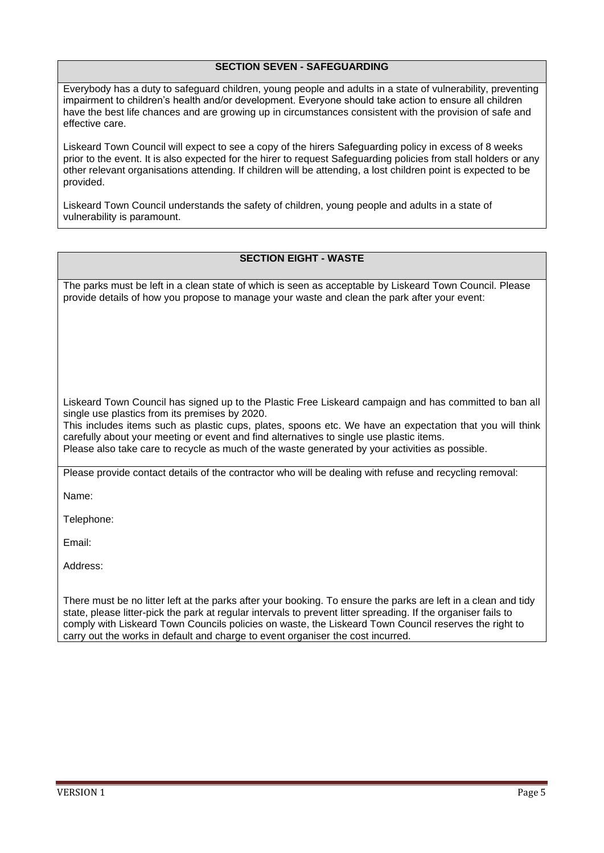## **SECTION SEVEN - SAFEGUARDING**

Everybody has a duty to safeguard children, young people and adults in a state of vulnerability, preventing impairment to children's health and/or development. Everyone should take action to ensure all children have the best life chances and are growing up in circumstances consistent with the provision of safe and effective care.

Liskeard Town Council will expect to see a copy of the hirers Safeguarding policy in excess of 8 weeks prior to the event. It is also expected for the hirer to request Safeguarding policies from stall holders or any other relevant organisations attending. If children will be attending, a lost children point is expected to be provided.

Liskeard Town Council understands the safety of children, young people and adults in a state of vulnerability is paramount.

### **SECTION EIGHT - WASTE**

The parks must be left in a clean state of which is seen as acceptable by Liskeard Town Council. Please provide details of how you propose to manage your waste and clean the park after your event:

Liskeard Town Council has signed up to the Plastic Free Liskeard campaign and has committed to ban all single use plastics from its premises by 2020.

This includes items such as plastic cups, plates, spoons etc. We have an expectation that you will think carefully about your meeting or event and find alternatives to single use plastic items. Please also take care to recycle as much of the waste generated by your activities as possible.

Please provide contact details of the contractor who will be dealing with refuse and recycling removal:

Name:

Telephone:

Email:

Address:

There must be no litter left at the parks after your booking. To ensure the parks are left in a clean and tidy state, please litter-pick the park at regular intervals to prevent litter spreading. If the organiser fails to comply with Liskeard Town Councils policies on waste, the Liskeard Town Council reserves the right to carry out the works in default and charge to event organiser the cost incurred.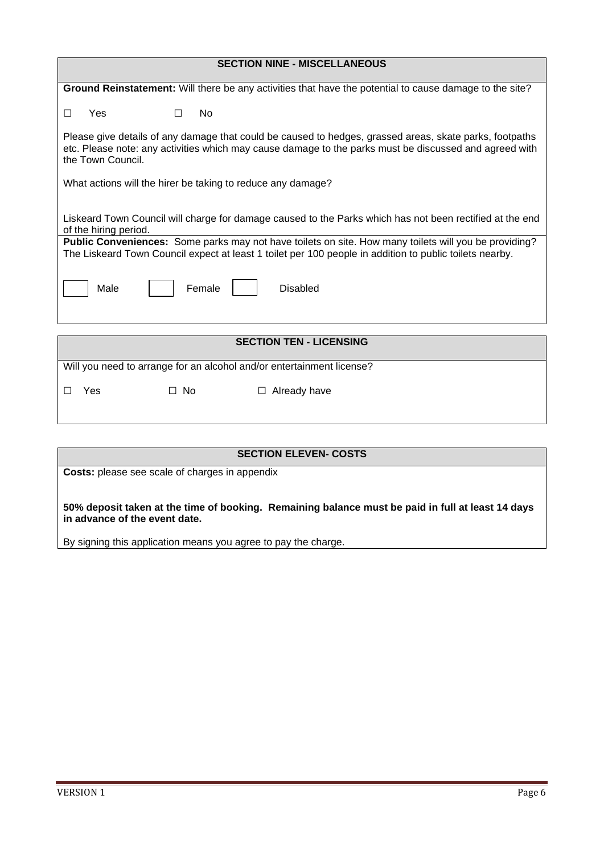| <b>SECTION NINE - MISCELLANEOUS</b>                                                                                                                                                                                                        |  |  |  |
|--------------------------------------------------------------------------------------------------------------------------------------------------------------------------------------------------------------------------------------------|--|--|--|
| Ground Reinstatement: Will there be any activities that have the potential to cause damage to the site?                                                                                                                                    |  |  |  |
| <b>No</b><br>Yes<br>П<br>$\Box$                                                                                                                                                                                                            |  |  |  |
| Please give details of any damage that could be caused to hedges, grassed areas, skate parks, footpaths<br>etc. Please note: any activities which may cause damage to the parks must be discussed and agreed with<br>the Town Council.     |  |  |  |
| What actions will the hirer be taking to reduce any damage?                                                                                                                                                                                |  |  |  |
| Liskeard Town Council will charge for damage caused to the Parks which has not been rectified at the end<br>of the hiring period.<br>Public Conveniences: Some parks may not have toilets on site. How many toilets will you be providing? |  |  |  |
| The Liskeard Town Council expect at least 1 toilet per 100 people in addition to public toilets nearby.                                                                                                                                    |  |  |  |
| Male<br>Female<br><b>Disabled</b>                                                                                                                                                                                                          |  |  |  |
|                                                                                                                                                                                                                                            |  |  |  |
| <b>SECTION TEN - LICENSING</b>                                                                                                                                                                                                             |  |  |  |
| Will you need to arrange for an alcohol and/or entertainment license?                                                                                                                                                                      |  |  |  |
| $\Box$ No<br>$\Box$ Already have<br>Yes<br>П                                                                                                                                                                                               |  |  |  |
|                                                                                                                                                                                                                                            |  |  |  |

| <b>SECTION ELEVEN- COSTS</b>                                                                                                       |
|------------------------------------------------------------------------------------------------------------------------------------|
| <b>Costs:</b> please see scale of charges in appendix                                                                              |
| 50% deposit taken at the time of booking. Remaining balance must be paid in full at least 14 days<br>in advance of the event date. |
| By signing this application means you agree to pay the charge.                                                                     |